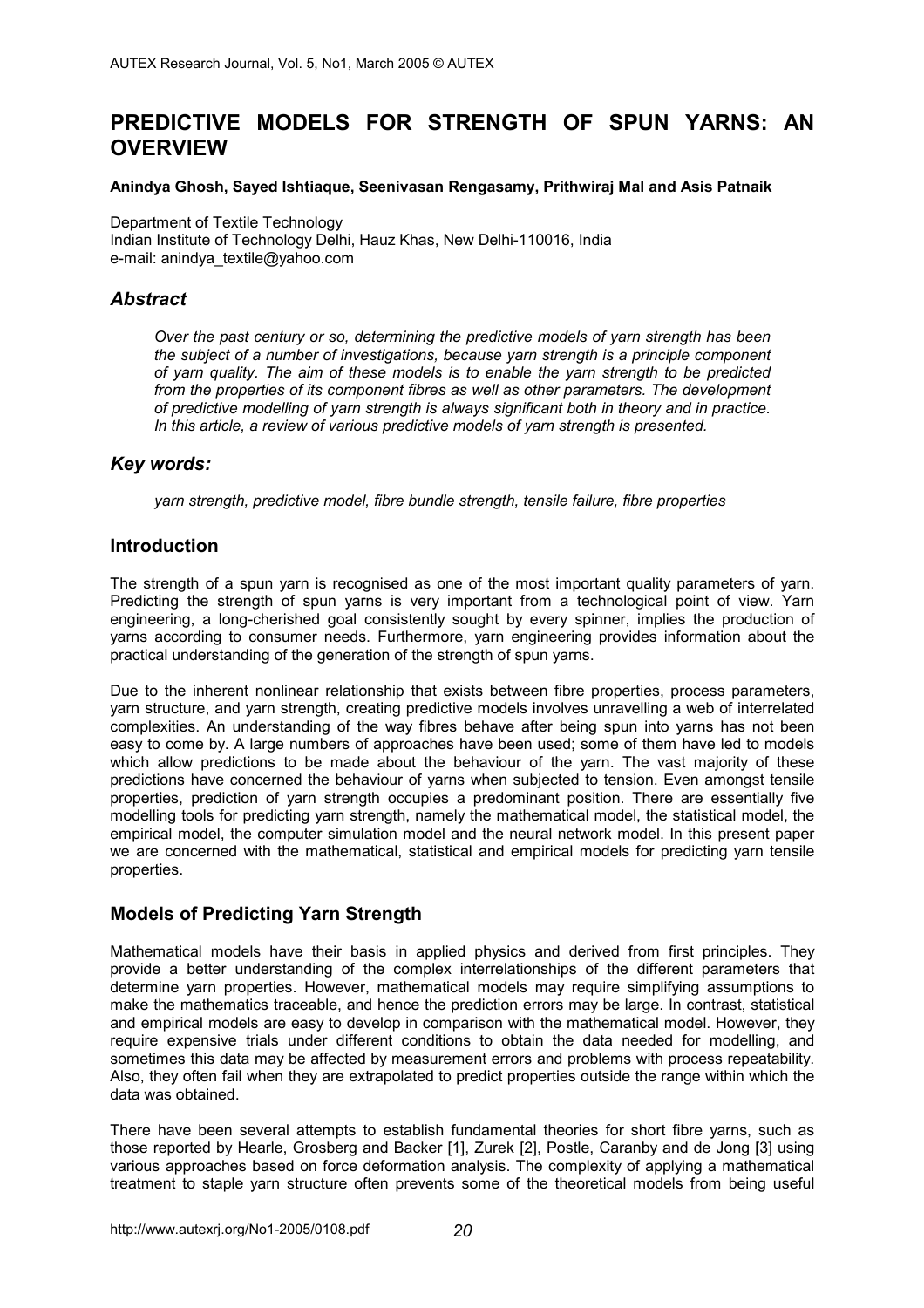# **PREDICTIVE MODELS FOR STRENGTH OF SPUN YARNS: AN OVERVIEW**

#### **Anindya Ghosh, Sayed Ishtiaque, Seenivasan Rengasamy, Prithwiraj Mal and Asis Patnaik**

Department of Textile Technology Indian Institute of Technology Delhi, Hauz Khas, New Delhi-110016, India e-mail: anindya\_textile@yahoo.com

# *Abstract*

*Over the past century or so, determining the predictive models of yarn strength has been the subject of a number of investigations, because yarn strength is a principle component of yarn quality. The aim of these models is to enable the yarn strength to be predicted from the properties of its component fibres as well as other parameters. The development of predictive modelling of yarn strength is always significant both in theory and in practice. In this article, a review of various predictive models of yarn strength is presented.* 

#### *Key words:*

*yarn strength, predictive model, fibre bundle strength, tensile failure, fibre properties* 

### **Introduction**

The strength of a spun yarn is recognised as one of the most important quality parameters of yarn. Predicting the strength of spun yarns is very important from a technological point of view. Yarn engineering, a long-cherished goal consistently sought by every spinner, implies the production of yarns according to consumer needs. Furthermore, yarn engineering provides information about the practical understanding of the generation of the strength of spun yarns.

Due to the inherent nonlinear relationship that exists between fibre properties, process parameters, yarn structure, and yarn strength, creating predictive models involves unravelling a web of interrelated complexities. An understanding of the way fibres behave after being spun into yarns has not been easy to come by. A large numbers of approaches have been used; some of them have led to models which allow predictions to be made about the behaviour of the yarn. The vast majority of these predictions have concerned the behaviour of yarns when subjected to tension. Even amongst tensile properties, prediction of yarn strength occupies a predominant position. There are essentially five modelling tools for predicting yarn strength, namely the mathematical model, the statistical model, the empirical model, the computer simulation model and the neural network model. In this present paper we are concerned with the mathematical, statistical and empirical models for predicting yarn tensile properties.

### **Models of Predicting Yarn Strength**

Mathematical models have their basis in applied physics and derived from first principles. They provide a better understanding of the complex interrelationships of the different parameters that determine yarn properties. However, mathematical models may require simplifying assumptions to make the mathematics traceable, and hence the prediction errors may be large. In contrast, statistical and empirical models are easy to develop in comparison with the mathematical model. However, they require expensive trials under different conditions to obtain the data needed for modelling, and sometimes this data may be affected by measurement errors and problems with process repeatability. Also, they often fail when they are extrapolated to predict properties outside the range within which the data was obtained.

There have been several attempts to establish fundamental theories for short fibre yarns, such as those reported by Hearle, Grosberg and Backer [1], Zurek [2], Postle, Caranby and de Jong [3] using various approaches based on force deformation analysis. The complexity of applying a mathematical treatment to staple yarn structure often prevents some of the theoretical models from being useful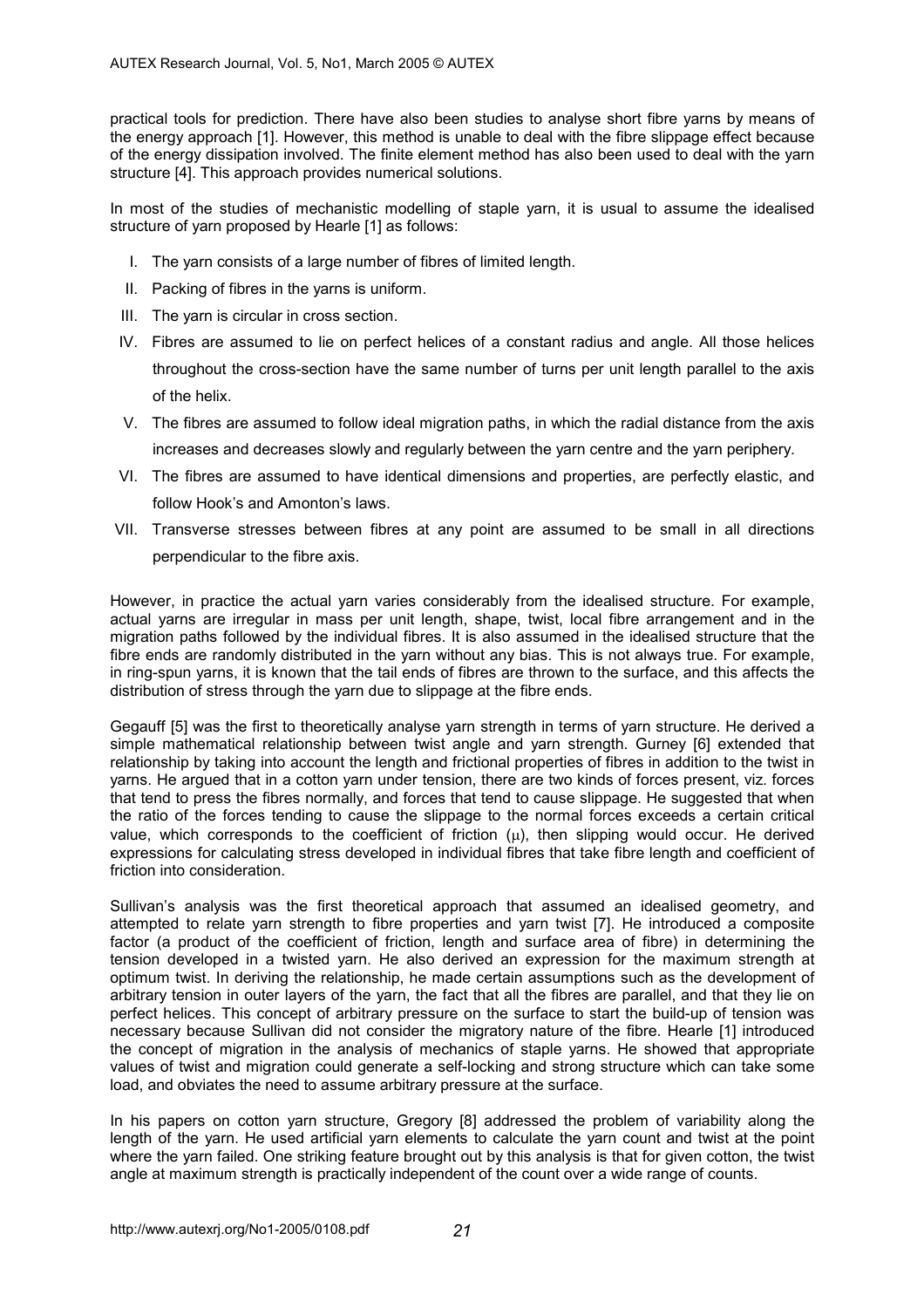practical tools for prediction. There have also been studies to analyse short fibre yarns by means of the energy approach [1]. However, this method is unable to deal with the fibre slippage effect because of the energy dissipation involved. The finite element method has also been used to deal with the yarn structure [4]. This approach provides numerical solutions.

In most of the studies of mechanistic modelling of staple yarn, it is usual to assume the idealised structure of yarn proposed by Hearle [1] as follows:

- I. The yarn consists of a large number of fibres of limited length.
- II. Packing of fibres in the yarns is uniform.
- III. The yarn is circular in cross section.
- IV. Fibres are assumed to lie on perfect helices of a constant radius and angle. All those helices throughout the cross-section have the same number of turns per unit length parallel to the axis of the helix.
- V. The fibres are assumed to follow ideal migration paths, in which the radial distance from the axis increases and decreases slowly and regularly between the yarn centre and the yarn periphery.
- VI. The fibres are assumed to have identical dimensions and properties, are perfectly elastic, and follow Hook's and Amonton's laws.
- VII. Transverse stresses between fibres at any point are assumed to be small in all directions perpendicular to the fibre axis.

However, in practice the actual yarn varies considerably from the idealised structure. For example, actual yarns are irregular in mass per unit length, shape, twist, local fibre arrangement and in the migration paths followed by the individual fibres. It is also assumed in the idealised structure that the fibre ends are randomly distributed in the yarn without any bias. This is not always true. For example, in ring-spun yarns, it is known that the tail ends of fibres are thrown to the surface, and this affects the distribution of stress through the yarn due to slippage at the fibre ends.

Gegauff [5] was the first to theoretically analyse yarn strength in terms of yarn structure. He derived a simple mathematical relationship between twist angle and yarn strength. Gurney [6] extended that relationship by taking into account the length and frictional properties of fibres in addition to the twist in yarns. He argued that in a cotton yarn under tension, there are two kinds of forces present, viz. forces that tend to press the fibres normally, and forces that tend to cause slippage. He suggested that when the ratio of the forces tending to cause the slippage to the normal forces exceeds a certain critical value, which corresponds to the coefficient of friction  $(\mu)$ , then slipping would occur. He derived expressions for calculating stress developed in individual fibres that take fibre length and coefficient of friction into consideration.

Sullivan's analysis was the first theoretical approach that assumed an idealised geometry, and attempted to relate yarn strength to fibre properties and yarn twist [7]. He introduced a composite factor (a product of the coefficient of friction, length and surface area of fibre) in determining the tension developed in a twisted yarn. He also derived an expression for the maximum strength at optimum twist. In deriving the relationship, he made certain assumptions such as the development of arbitrary tension in outer layers of the yarn, the fact that all the fibres are parallel, and that they lie on perfect helices. This concept of arbitrary pressure on the surface to start the build-up of tension was necessary because Sullivan did not consider the migratory nature of the fibre. Hearle [1] introduced the concept of migration in the analysis of mechanics of staple yarns. He showed that appropriate values of twist and migration could generate a self-locking and strong structure which can take some load, and obviates the need to assume arbitrary pressure at the surface.

In his papers on cotton yarn structure, Gregory [8] addressed the problem of variability along the length of the yarn. He used artificial yarn elements to calculate the yarn count and twist at the point where the yarn failed. One striking feature brought out by this analysis is that for given cotton, the twist angle at maximum strength is practically independent of the count over a wide range of counts.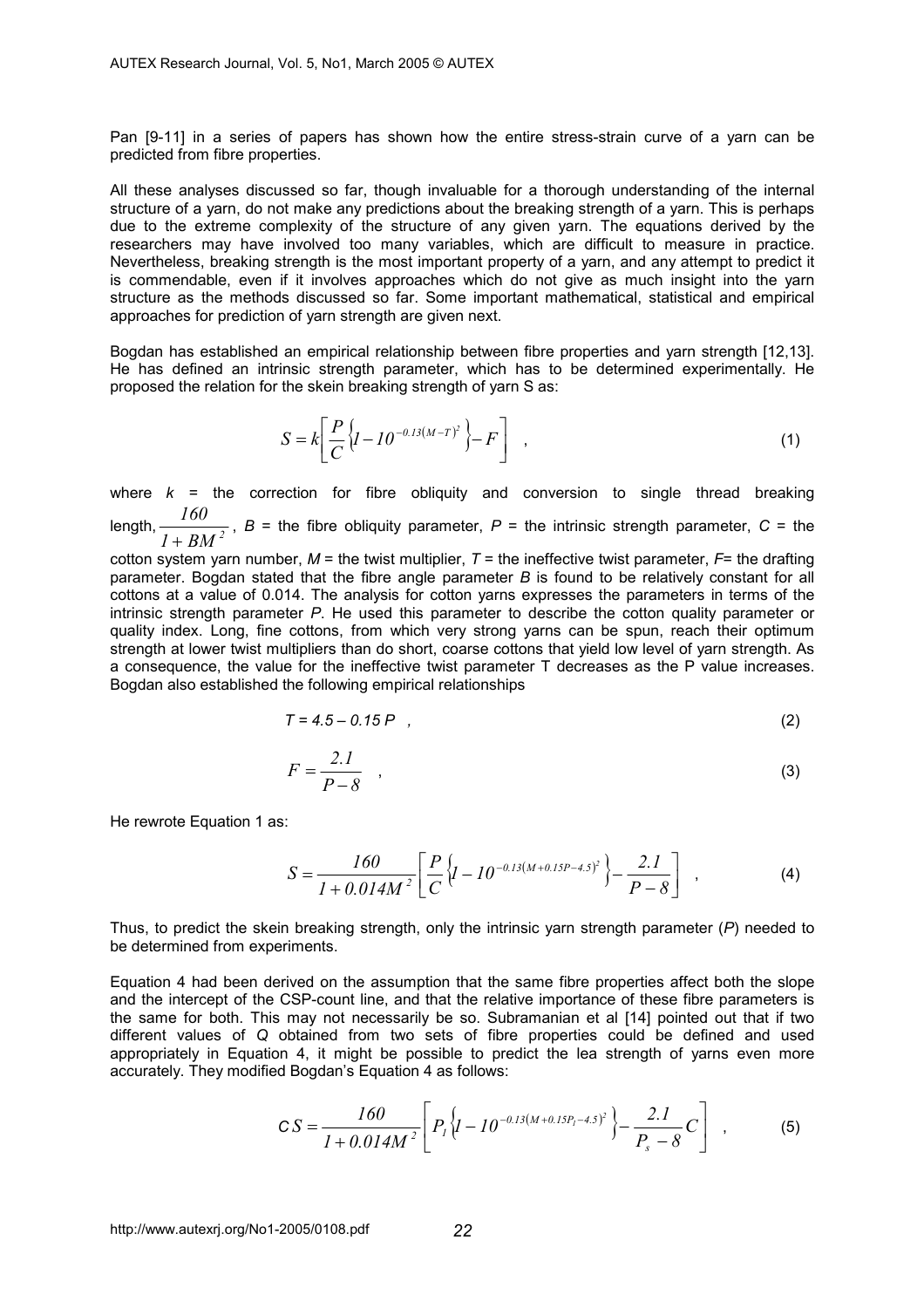Pan [9-11] in a series of papers has shown how the entire stress-strain curve of a yarn can be predicted from fibre properties.

All these analyses discussed so far, though invaluable for a thorough understanding of the internal structure of a yarn, do not make any predictions about the breaking strength of a yarn. This is perhaps due to the extreme complexity of the structure of any given yarn. The equations derived by the researchers may have involved too many variables, which are difficult to measure in practice. Nevertheless, breaking strength is the most important property of a yarn, and any attempt to predict it is commendable, even if it involves approaches which do not give as much insight into the yarn structure as the methods discussed so far. Some important mathematical, statistical and empirical approaches for prediction of yarn strength are given next.

Bogdan has established an empirical relationship between fibre properties and yarn strength [12,13]. He has defined an intrinsic strength parameter, which has to be determined experimentally. He proposed the relation for the skein breaking strength of yarn S as:

$$
S = k \left[ \frac{P}{C} \left\{ I - I0^{-0.13(M-T)^2} \right\} - F \right] \quad , \tag{1}
$$

where *k* = the correction for fibre obliquity and conversion to single thread breaking  $length, \frac{100}{I + BM^2}$ *160*  $\frac{1}{2}$ ,  $\frac{1}{2}$ ,  $B =$  the fibre obliquity parameter,  $P =$  the intrinsic strength parameter,  $C =$  the  $+ BM^2$ 

cotton system yarn number,  $M =$  the twist multiplier,  $T =$  the ineffective twist parameter,  $F =$  the drafting parameter. Bogdan stated that the fibre angle parameter *B* is found to be relatively constant for all cottons at a value of 0.014. The analysis for cotton yarns expresses the parameters in terms of the intrinsic strength parameter *P*. He used this parameter to describe the cotton quality parameter or quality index. Long, fine cottons, from which very strong yarns can be spun, reach their optimum strength at lower twist multipliers than do short, coarse cottons that yield low level of yarn strength. As a consequence, the value for the ineffective twist parameter T decreases as the P value increases. Bogdan also established the following empirical relationships

$$
T = 4.5 - 0.15 P \t\t(2)
$$

$$
F = \frac{2.I}{P - 8} \quad , \tag{3}
$$

He rewrote Equation 1 as:

$$
S = \frac{160}{1 + 0.014M^2} \left[ \frac{P}{C} \left\{ I - 10^{-0.13(M + 0.15P - 4.5)^2} \right\} - \frac{2.1}{P - 8} \right] , \tag{4}
$$

Thus, to predict the skein breaking strength, only the intrinsic yarn strength parameter (*P*) needed to be determined from experiments.

Equation 4 had been derived on the assumption that the same fibre properties affect both the slope and the intercept of the CSP-count line, and that the relative importance of these fibre parameters is the same for both. This may not necessarily be so. Subramanian et al [14] pointed out that if two different values of *Q* obtained from two sets of fibre properties could be defined and used appropriately in Equation 4, it might be possible to predict the lea strength of yarns even more accurately. They modified Bogdan's Equation 4 as follows:

$$
CS = \frac{160}{1 + 0.014M^2} \left[ P_1 \left\{ I - 10^{-0.13(M + 0.15P_1 - 4.5)^2} \right\} - \frac{2.1}{P_s - 8} C \right],
$$
 (5)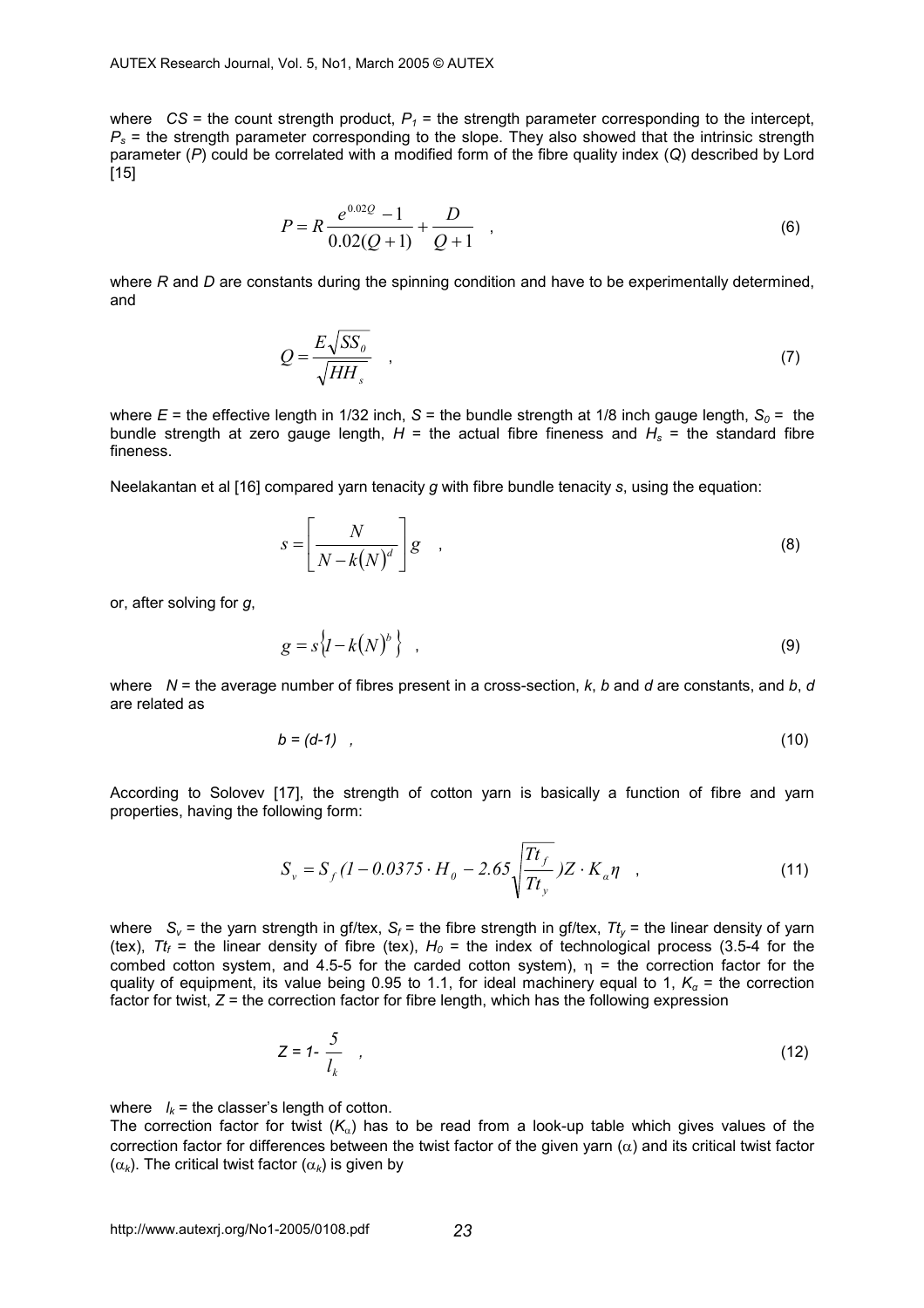where  $CS =$  the count strength product,  $P_1 =$  the strength parameter corresponding to the intercept,  $P<sub>s</sub>$  = the strength parameter corresponding to the slope. They also showed that the intrinsic strength parameter (*P*) could be correlated with a modified form of the fibre quality index (*Q*) described by Lord [15]

$$
P = R \frac{e^{0.02Q} - 1}{0.02(Q+1)} + \frac{D}{Q+1} \quad , \tag{6}
$$

where *R* and *D* are constants during the spinning condition and have to be experimentally determined, and

$$
Q = \frac{E\sqrt{SS_0}}{\sqrt{HH_s}} \quad , \tag{7}
$$

where  $E =$  the effective length in 1/32 inch,  $S =$  the bundle strength at 1/8 inch gauge length,  $S_0 =$  the bundle strength at zero gauge length,  $H =$  the actual fibre fineness and  $H_s =$  the standard fibre fineness.

Neelakantan et al [16] compared yarn tenacity *g* with fibre bundle tenacity *s*, using the equation:

$$
s = \left[\frac{N}{N - k(N)^d}\right]g\tag{8}
$$

or, after solving for *g*,

$$
g = s\left\{I - k(N)^b\right\} \quad , \tag{9}
$$

where *N* = the average number of fibres present in a cross-section, *k*, *b* and *d* are constants, and *b*, *d* are related as

$$
b = (d-1) \quad , \tag{10}
$$

According to Solovev [17], the strength of cotton yarn is basically a function of fibre and yarn properties, having the following form:

$$
S_{v} = S_{f}(I - 0.0375 \cdot H_{0} - 2.65 \sqrt{\frac{Tt_{f}}{Tt_{y}}}) Z \cdot K_{a} \eta \quad , \tag{11}
$$

where  $S_v$  = the yarn strength in gf/tex,  $S_f$  = the fibre strength in gf/tex,  $T_t$  = the linear density of yarn (tex),  $Tt_f$  = the linear density of fibre (tex),  $H_0$  = the index of technological process (3.5-4 for the combed cotton system, and 4.5-5 for the carded cotton system),  $\eta$  = the correction factor for the quality of equipment, its value being 0.95 to 1.1, for ideal machinery equal to 1,  $K_a$  = the correction factor for twist,  $Z =$  the correction factor for fibre length, which has the following expression

$$
Z = 1 - \frac{5}{l_k} \tag{12}
$$

where  $l_k$  = the classer's length of cotton.

The correction factor for twist  $(K_{\alpha})$  has to be read from a look-up table which gives values of the correction factor for differences between the twist factor of the given yarn  $(\alpha)$  and its critical twist factor ( $\alpha_k$ ). The critical twist factor ( $\alpha_k$ ) is given by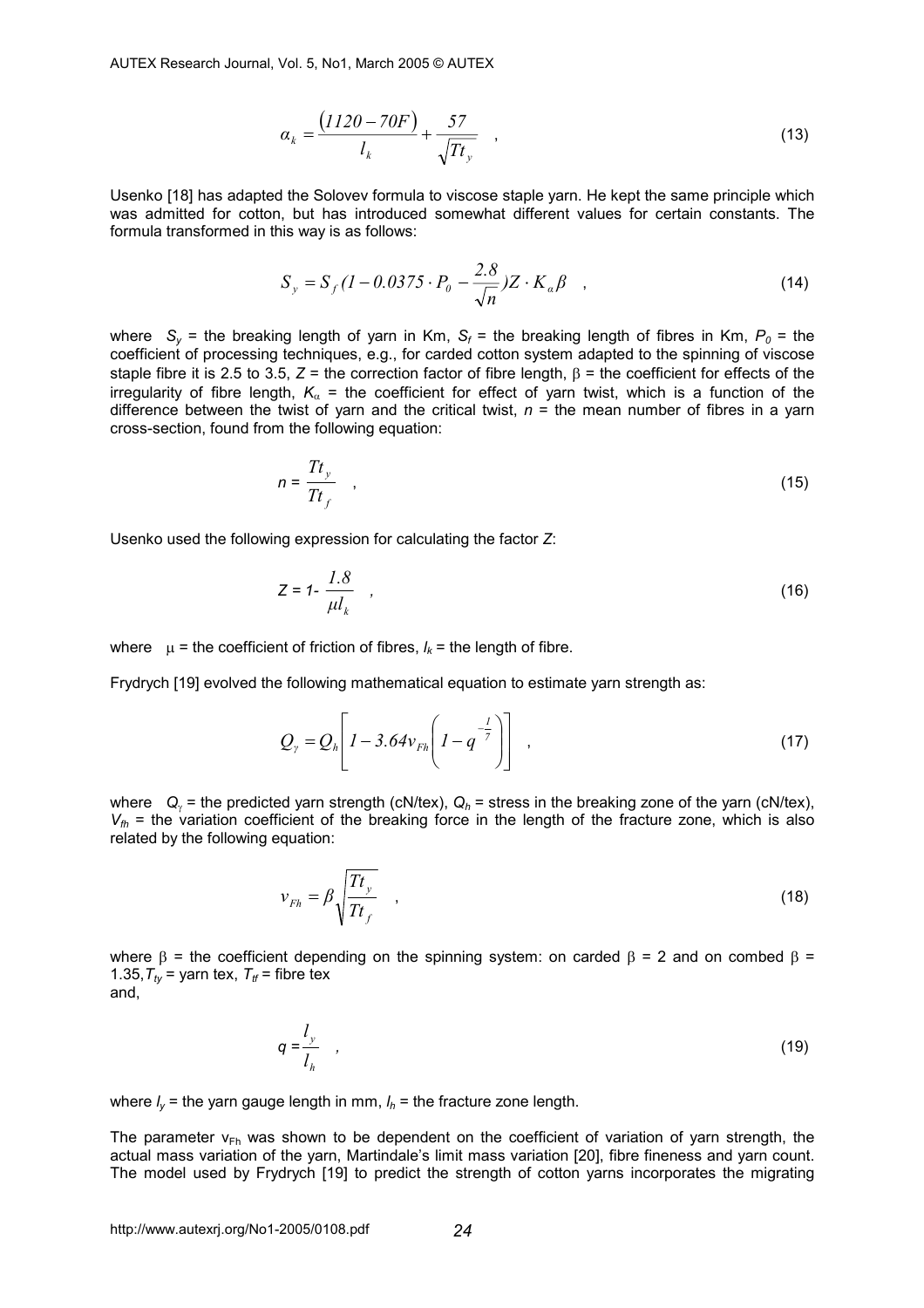AUTEX Research Journal, Vol. 5, No1, March 2005 © AUTEX

$$
\alpha_k = \frac{(1120 - 70F)}{l_k} + \frac{57}{\sqrt{T t_y}} \quad , \tag{13}
$$

Usenko [18] has adapted the Solovev formula to viscose staple yarn. He kept the same principle which was admitted for cotton, but has introduced somewhat different values for certain constants. The formula transformed in this way is as follows:

$$
S_y = S_f (1 - 0.0375 \cdot P_0 - \frac{2.8}{\sqrt{n}}) Z \cdot K_a \beta \quad ,
$$
 (14)

where  $S_v$  = the breaking length of yarn in Km,  $S_f$  = the breaking length of fibres in Km,  $P_o$  = the coefficient of processing techniques, e.g., for carded cotton system adapted to the spinning of viscose staple fibre it is 2.5 to 3.5, *Z* = the correction factor of fibre length, β = the coefficient for effects of the irregularity of fibre length,  $K_{\alpha}$  = the coefficient for effect of yarn twist, which is a function of the difference between the twist of yarn and the critical twist,  $n =$  the mean number of fibres in a yarn cross-section, found from the following equation:

$$
n = \frac{Tt_y}{Tt_f} \quad , \tag{15}
$$

Usenko used the following expression for calculating the factor *Z*:

$$
Z = 1 - \frac{1.8}{\mu l_k} \tag{16}
$$

where  $\mu$  = the coefficient of friction of fibres,  $l_k$  = the length of fibre.

Frydrych [19] evolved the following mathematical equation to estimate yarn strength as:

$$
Q_{\gamma} = Q_h \left[ I - 3.64 v_{Fh} \left( I - q^{-\frac{1}{7}} \right) \right] \tag{17}
$$

where *Q<sub>γ</sub>* = the predicted yarn strength (cN/tex), *Q<sub>h</sub>* = stress in the breaking zone of the yarn (cN/tex),  $V_{th}$  = the variation coefficient of the breaking force in the length of the fracture zone, which is also related by the following equation:

$$
v_{Fh} = \beta \sqrt{\frac{Tt_y}{Tt_f}} \quad , \tag{18}
$$

where  $\beta$  = the coefficient depending on the spinning system: on carded  $\beta$  = 2 and on combed  $\beta$  = 1.35,  $T_{tv}$  = yarn tex,  $T_{tf}$  = fibre tex

and,

$$
q = \frac{l_y}{l_h} \tag{19}
$$

where  $I_v$  = the yarn gauge length in mm,  $I_h$  = the fracture zone length.

The parameter  $v_{Fh}$  was shown to be dependent on the coefficient of variation of varn strength, the actual mass variation of the yarn, Martindale's limit mass variation [20], fibre fineness and yarn count. The model used by Frydrych [19] to predict the strength of cotton yarns incorporates the migrating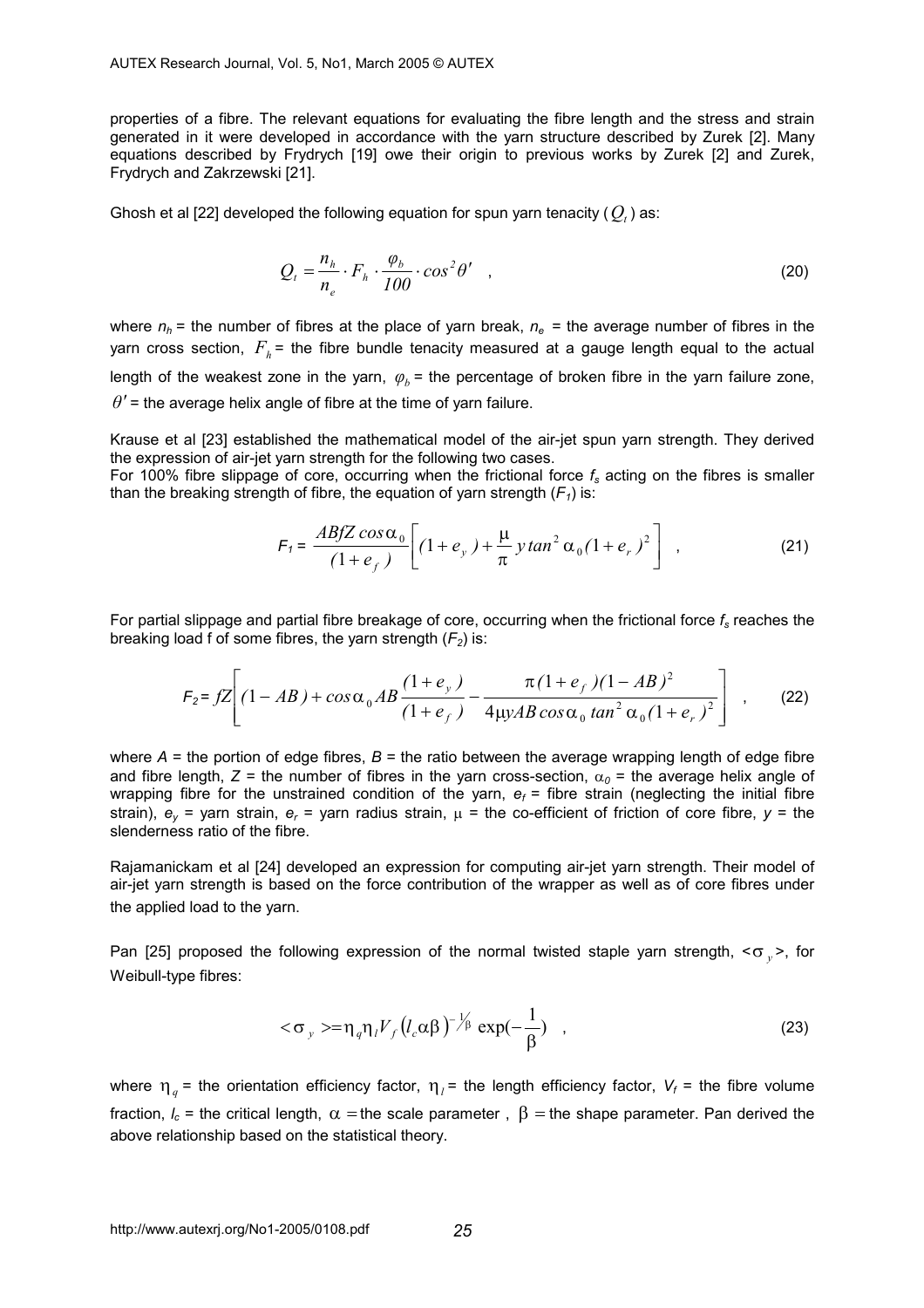properties of a fibre. The relevant equations for evaluating the fibre length and the stress and strain generated in it were developed in accordance with the yarn structure described by Zurek [2]. Many equations described by Frydrych [19] owe their origin to previous works by Zurek [2] and Zurek, Frydrych and Zakrzewski [21].

Ghosh et al  $[22]$  developed the following equation for spun yarn tenacity ( $Q_t$ ) as:

$$
Q_t = \frac{n_h}{n_e} \cdot F_h \cdot \frac{\varphi_b}{100} \cdot \cos^2 \theta' \quad , \tag{20}
$$

where  $n_h$  = the number of fibres at the place of yarn break,  $n_e$  = the average number of fibres in the yarn cross section,  $F<sub>b</sub>$  = the fibre bundle tenacity measured at a gauge length equal to the actual length of the weakest zone in the yarn,  $\varphi_h$  = the percentage of broken fibre in the yarn failure zone,  $\theta'$  = the average helix angle of fibre at the time of yarn failure.

Krause et al [23] established the mathematical model of the air-jet spun yarn strength. They derived the expression of air-jet yarn strength for the following two cases.

For 100% fibre slippage of core, occurring when the frictional force *fs* acting on the fibres is smaller than the breaking strength of fibre, the equation of yarn strength  $(F_1)$  is:

$$
F_1 = \frac{ABfZ\cos\alpha_0}{(1+e_f)} \left[ (1+e_y) + \frac{\mu}{\pi} y \tan^2\alpha_0 (1+e_r)^2 \right] , \qquad (21)
$$

For partial slippage and partial fibre breakage of core, occurring when the frictional force *fs* reaches the breaking load f of some fibres, the yarn strength  $(F_2)$  is:

$$
F_2 = fZ \left[ (1 - AB) + \cos \alpha_0 AB \frac{(1 + e_y)}{(1 + e_f)} - \frac{\pi (1 + e_f)(1 - AB)^2}{4 \mu yAB \cos \alpha_0 \tan^2 \alpha_0 (1 + e_r)^2} \right] , \quad (22)
$$

where  $A =$  the portion of edge fibres,  $B =$  the ratio between the average wrapping length of edge fibre and fibre length,  $Z =$  the number of fibres in the yarn cross-section,  $\alpha_0 =$  the average helix angle of wrapping fibre for the unstrained condition of the yarn,  $e_f$  = fibre strain (neglecting the initial fibre strain),  $e_y$  = yarn strain,  $e_y$  = yarn radius strain,  $\mu$  = the co-efficient of friction of core fibre,  $\gamma$  = the slenderness ratio of the fibre.

Rajamanickam et al [24] developed an expression for computing air-jet yarn strength. Their model of air-jet yarn strength is based on the force contribution of the wrapper as well as of core fibres under the applied load to the yarn.

Pan [25] proposed the following expression of the normal twisted staple yarn strength, <σ <sub>*y*</sub> >, for Weibull-type fibres:

$$
<\sigma_y> = \eta_q \eta_l V_f (l_c \alpha \beta)^{-1/2} \exp(-\frac{1}{\beta})
$$
 (23)

where  $\eta_q$  = the orientation efficiency factor,  $\eta_q$  = the length efficiency factor,  $V_f$  = the fibre volume fraction,  $l_c$  = the critical length,  $\alpha$  = the scale parameter,  $\beta$  = the shape parameter. Pan derived the above relationship based on the statistical theory.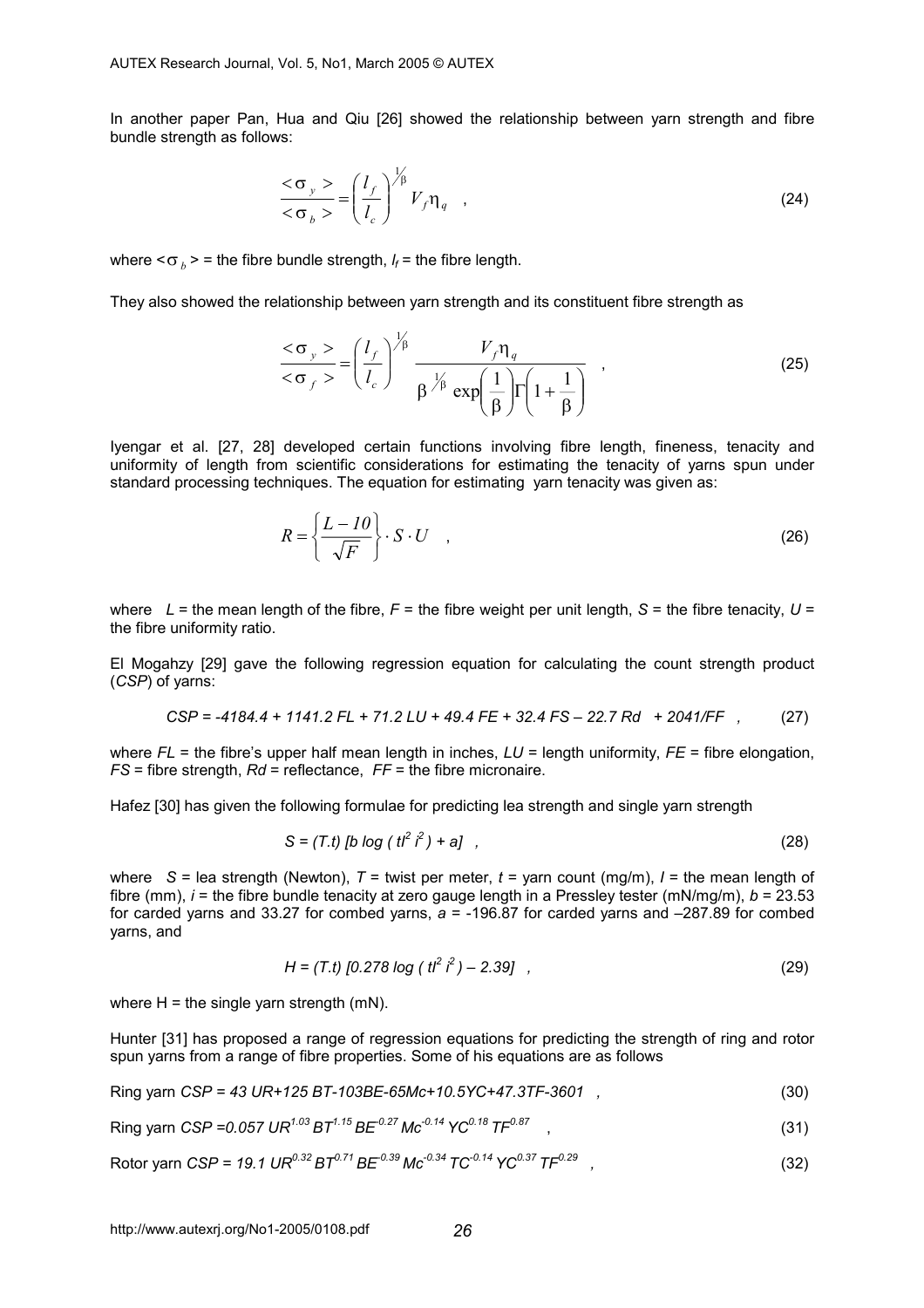In another paper Pan, Hua and Qiu [26] showed the relationship between yarn strength and fibre bundle strength as follows:

$$
\frac{<\sigma_y>}{<\sigma_b>} = \left(\frac{l_f}{l_c}\right)^{\frac{1}{\beta}} V_f \eta_q \quad , \tag{24}
$$

where  $<\sigma_b>$  = the fibre bundle strength,  $l_f$  = the fibre length.

They also showed the relationship between yarn strength and its constituent fibre strength as

$$
\frac{<\sigma_y>}{<\sigma_f>} = \left(\frac{l_f}{l_c}\right)^{\frac{1}{\beta}} \frac{V_f \eta_q}{\beta^{\frac{1}{\beta}} \exp\left(\frac{1}{\beta}\right) \Gamma\left(1 + \frac{1}{\beta}\right)} \quad , \tag{25}
$$

Iyengar et al. [27, 28] developed certain functions involving fibre length, fineness, tenacity and uniformity of length from scientific considerations for estimating the tenacity of yarns spun under standard processing techniques. The equation for estimating yarn tenacity was given as:

$$
R = \left\{ \frac{L - I0}{\sqrt{F}} \right\} \cdot S \cdot U \quad , \tag{26}
$$

where  $L =$  the mean length of the fibre,  $F =$  the fibre weight per unit length,  $S =$  the fibre tenacity,  $U =$ the fibre uniformity ratio.

El Mogahzy [29] gave the following regression equation for calculating the count strength product (*CSP*) of yarns:

$$
CSP = -4184.4 + 1141.2 \, FL + 71.2 \, LU + 49.4 \, FE + 32.4 \, FS - 22.7 \, Rd + 2041/FF , \qquad (27)
$$

where  $FL$  = the fibre's upper half mean length in inches,  $LU$  = length uniformity,  $FE$  = fibre elongation, *FS* = fibre strength, *Rd* = reflectance, *FF* = the fibre micronaire.

Hafez [30] has given the following formulae for predicting lea strength and single yarn strength

$$
S = (T.t) [b log ( t2 i2) + a] , \t(28)
$$

where  $S =$  lea strength (Newton),  $T =$  twist per meter,  $t =$  yarn count (mg/m),  $l =$  the mean length of fibre (mm), *i* = the fibre bundle tenacity at zero gauge length in a Pressley tester (mN/mg/m), *b* = 23.53 for carded yarns and 33.27 for combed yarns, *a* = -196.87 for carded yarns and –287.89 for combed yarns, and

$$
H = (T.t) [0.278 \log (t^2)^2 - 2.39], \qquad (29)
$$

where  $H =$  the single yarn strength (mN).

Hunter [31] has proposed a range of regression equations for predicting the strength of ring and rotor spun yarns from a range of fibre properties. Some of his equations are as follows

Ring yarn *CSP = 43 UR+125 BT-103BE-65Mc+10.5YC+47.3TF-3601 ,* (30)

Ring **yar** 
$$
CSP = 0.057 \, UR^{1.03} BT^{1.15} BE^{0.27} \, Mc^{-0.14} \, YC^{0.18} \, TF^{0.87}
$$
 (31)

Rotor yarn 
$$
CSP = 19.1 \text{ UR}^{0.32} BT^{0.71} BE^{-0.39} \text{Mc}^{-0.34} TC^{-0.14} YC^{0.37} TF^{0.29}
$$
, (32)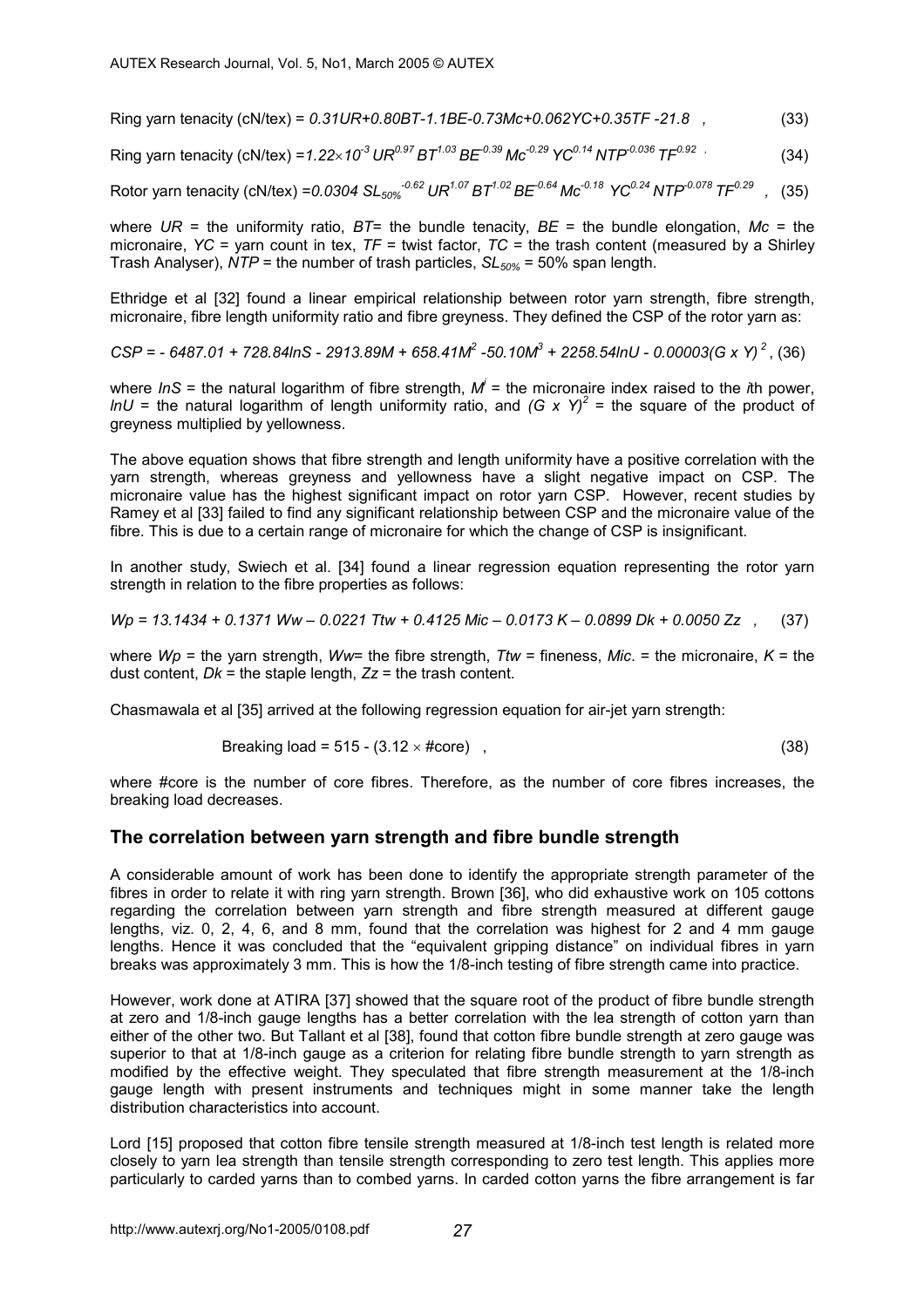Ring yarn tenacity (cN/tex) = *0.31UR+0.80BT-1.1BE-0.73Mc+0.062YC+0.35TF -21.8 ,* (33)

Ring yarn tenacity (cN/tex) =  $1.22 \times 10^{-3}$  UR<sup>0.97</sup> BT<sup>1.03</sup> BE<sup>-0.39</sup> Mc<sup>-0.29</sup> YC<sup>0.14</sup> NTP<sup>-0.036</sup> TF<sup>0.92</sup> (34)

Rotor yarn tenacity (cN/tex) =0.0304 SL<sub>50%</sub><sup>-0.62</sup> UR<sup>1.07</sup> BT<sup>1.02</sup> BE<sup>-0.64</sup> Mc<sup>-0.18</sup> YC<sup>0.24</sup> NTP<sup>-0.078</sup> TF<sup>0.29</sup> , (35)

where  $UR =$  the uniformity ratio,  $BT =$  the bundle tenacity,  $BE =$  the bundle elongation,  $Mc =$  the micronaire, *YC* = yarn count in tex,  $TF$  = twist factor,  $TC$  = the trash content (measured by a Shirley Trash Analyser),  $\overline{NTP}$  = the number of trash particles,  $SL_{50\%}$  = 50% span length.

Ethridge et al [32] found a linear empirical relationship between rotor yarn strength, fibre strength, micronaire, fibre length uniformity ratio and fibre greyness. They defined the CSP of the rotor yarn as:

 $CSP = -6487.01 + 728.84$ lnS - 2913.89M + 658.41M<sup>2</sup> -50.10M<sup>3</sup> + 2258.54lnU - 0.00003(G x Y)<sup>2</sup>, (36)

where *InS* = the natural logarithm of fibre strength, M<sup>i</sup> = the micronaire index raised to the *i*th power, *lnU* = the natural logarithm of length uniformity ratio, and *(G x Y)<sup>2</sup>* = the square of the product of greyness multiplied by yellowness.

The above equation shows that fibre strength and length uniformity have a positive correlation with the yarn strength, whereas greyness and yellowness have a slight negative impact on CSP. The micronaire value has the highest significant impact on rotor yarn CSP. However, recent studies by Ramey et al [33] failed to find any significant relationship between CSP and the micronaire value of the fibre. This is due to a certain range of micronaire for which the change of CSP is insignificant.

In another study, Swiech et al. [34] found a linear regression equation representing the rotor yarn strength in relation to the fibre properties as follows:

*Wp = 13.1434 + 0.1371 Ww – 0.0221 Ttw + 0.4125 Mic – 0.0173 K – 0.0899 Dk + 0.0050 Zz ,* (37)

where *Wp* = the yarn strength, *Ww*= the fibre strength, *Ttw* = fineness, *Mic*. = the micronaire, *K* = the dust content,  $Dk =$  the staple length,  $Zz =$  the trash content.

Chasmawala et al [35] arrived at the following regression equation for air-jet yarn strength:

Breaking load = 
$$
515 - (3.12 \times \text{#core})
$$

\n(38)

where #core is the number of core fibres. Therefore, as the number of core fibres increases, the breaking load decreases.

### **The correlation between yarn strength and fibre bundle strength**

A considerable amount of work has been done to identify the appropriate strength parameter of the fibres in order to relate it with ring yarn strength. Brown [36], who did exhaustive work on 105 cottons regarding the correlation between yarn strength and fibre strength measured at different gauge lengths, viz. 0, 2, 4, 6, and 8 mm, found that the correlation was highest for 2 and 4 mm gauge lengths. Hence it was concluded that the "equivalent gripping distance" on individual fibres in yarn breaks was approximately 3 mm. This is how the 1/8-inch testing of fibre strength came into practice.

However, work done at ATIRA [37] showed that the square root of the product of fibre bundle strength at zero and 1/8-inch gauge lengths has a better correlation with the lea strength of cotton yarn than either of the other two. But Tallant et al [38], found that cotton fibre bundle strength at zero gauge was superior to that at 1/8-inch gauge as a criterion for relating fibre bundle strength to yarn strength as modified by the effective weight. They speculated that fibre strength measurement at the 1/8-inch gauge length with present instruments and techniques might in some manner take the length distribution characteristics into account.

Lord [15] proposed that cotton fibre tensile strength measured at 1/8-inch test length is related more closely to yarn lea strength than tensile strength corresponding to zero test length. This applies more particularly to carded yarns than to combed yarns. In carded cotton yarns the fibre arrangement is far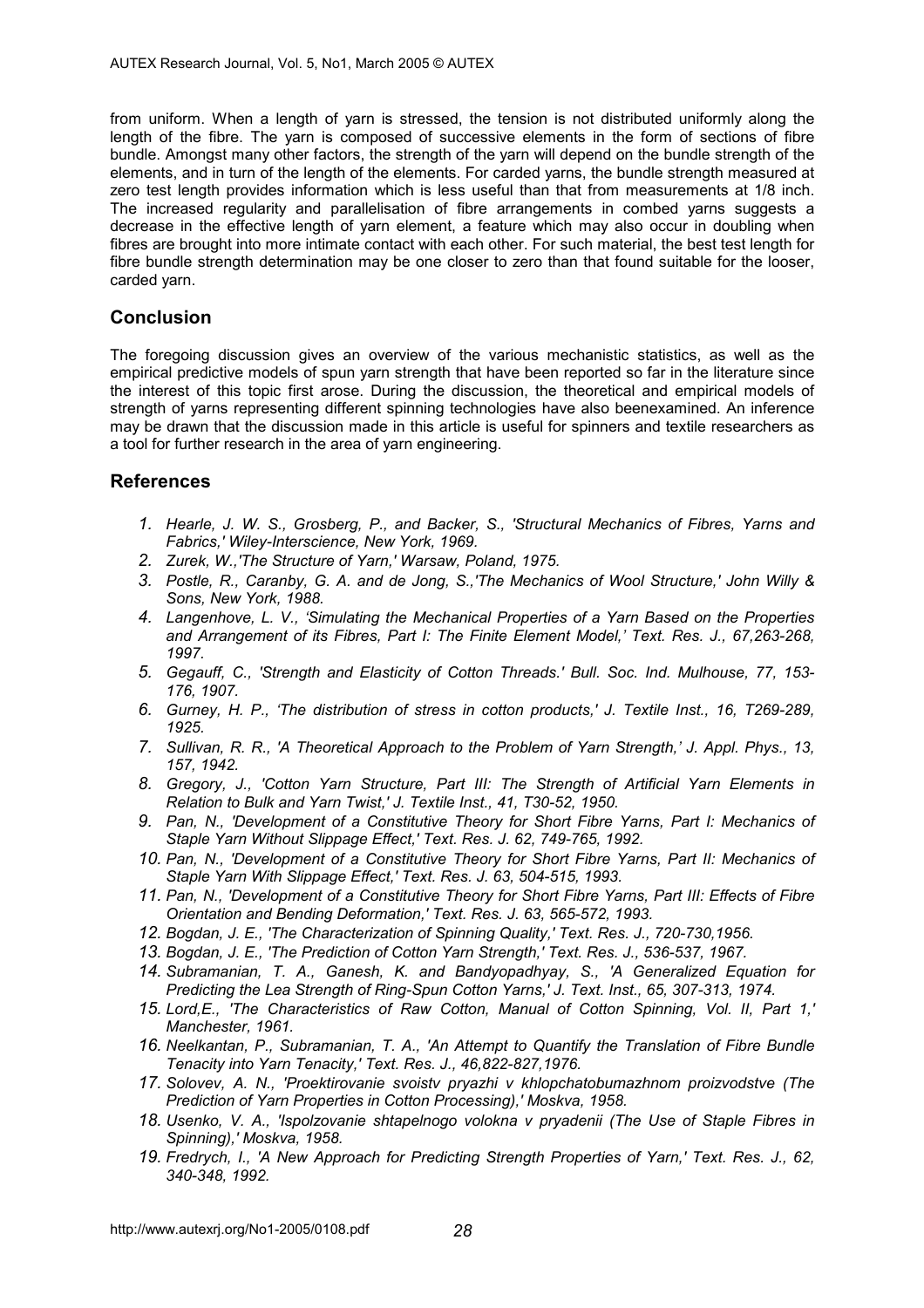from uniform. When a length of yarn is stressed, the tension is not distributed uniformly along the length of the fibre. The yarn is composed of successive elements in the form of sections of fibre bundle. Amongst many other factors, the strength of the yarn will depend on the bundle strength of the elements, and in turn of the length of the elements. For carded yarns, the bundle strength measured at zero test length provides information which is less useful than that from measurements at 1/8 inch. The increased regularity and parallelisation of fibre arrangements in combed yarns suggests a decrease in the effective length of yarn element, a feature which may also occur in doubling when fibres are brought into more intimate contact with each other. For such material, the best test length for fibre bundle strength determination may be one closer to zero than that found suitable for the looser, carded yarn.

# **Conclusion**

The foregoing discussion gives an overview of the various mechanistic statistics, as well as the empirical predictive models of spun yarn strength that have been reported so far in the literature since the interest of this topic first arose. During the discussion, the theoretical and empirical models of strength of yarns representing different spinning technologies have also beenexamined. An inference may be drawn that the discussion made in this article is useful for spinners and textile researchers as a tool for further research in the area of yarn engineering.

# **References**

- *1. Hearle, J. W. S., Grosberg, P., and Backer, S., 'Structural Mechanics of Fibres, Yarns and Fabrics,' Wiley-Interscience, New York, 1969.*
- *2. Zurek, W.,'The Structure of Yarn,' Warsaw, Poland, 1975.*
- *3. Postle, R., Caranby, G. A. and de Jong, S.,'The Mechanics of Wool Structure,' John Willy & Sons, New York, 1988.*
- *4. Langenhove, L. V., 'Simulating the Mechanical Properties of a Yarn Based on the Properties and Arrangement of its Fibres, Part I: The Finite Element Model,' Text. Res. J., 67,263-268, 1997.*
- *5. Gegauff, C., 'Strength and Elasticity of Cotton Threads.' Bull. Soc. Ind. Mulhouse, 77, 153- 176, 1907.*
- *6. Gurney, H. P., 'The distribution of stress in cotton products,' J. Textile Inst., 16, T269-289, 1925.*
- *7. Sullivan, R. R., 'A Theoretical Approach to the Problem of Yarn Strength,' J. Appl. Phys., 13, 157, 1942.*
- *8. Gregory, J., 'Cotton Yarn Structure, Part III: The Strength of Artificial Yarn Elements in Relation to Bulk and Yarn Twist,' J. Textile Inst., 41, T30-52, 1950.*
- *9. Pan, N., 'Development of a Constitutive Theory for Short Fibre Yarns, Part I: Mechanics of Staple Yarn Without Slippage Effect,' Text. Res. J. 62, 749-765, 1992.*
- *10. Pan, N., 'Development of a Constitutive Theory for Short Fibre Yarns, Part II: Mechanics of Staple Yarn With Slippage Effect,' Text. Res. J. 63, 504-515, 1993.*
- *11. Pan, N., 'Development of a Constitutive Theory for Short Fibre Yarns, Part III: Effects of Fibre Orientation and Bending Deformation,' Text. Res. J. 63, 565-572, 1993.*
- *12. Bogdan, J. E., 'The Characterization of Spinning Quality,' Text. Res. J., 720-730,1956.*
- *13. Bogdan, J. E., 'The Prediction of Cotton Yarn Strength,' Text. Res. J., 536-537, 1967.*
- *14. Subramanian, T. A., Ganesh, K. and Bandyopadhyay, S., 'A Generalized Equation for Predicting the Lea Strength of Ring-Spun Cotton Yarns,' J. Text. Inst., 65, 307-313, 1974.*
- *15. Lord,E., 'The Characteristics of Raw Cotton, Manual of Cotton Spinning, Vol. II, Part 1,' Manchester, 1961.*
- *16. Neelkantan, P., Subramanian, T. A., 'An Attempt to Quantify the Translation of Fibre Bundle Tenacity into Yarn Tenacity,' Text. Res. J., 46,822-827,1976.*
- *17. Solovev, A. N., 'Proektirovanie svoistv pryazhi v khlopchatobumazhnom proizvodstve (The Prediction of Yarn Properties in Cotton Processing),' Moskva, 1958.*
- *18. Usenko, V. A., 'Ispolzovanie shtapelnogo volokna v pryadenii (The Use of Staple Fibres in Spinning),' Moskva, 1958.*
- *19. Fredrych, I., 'A New Approach for Predicting Strength Properties of Yarn,' Text. Res. J., 62, 340-348, 1992.*